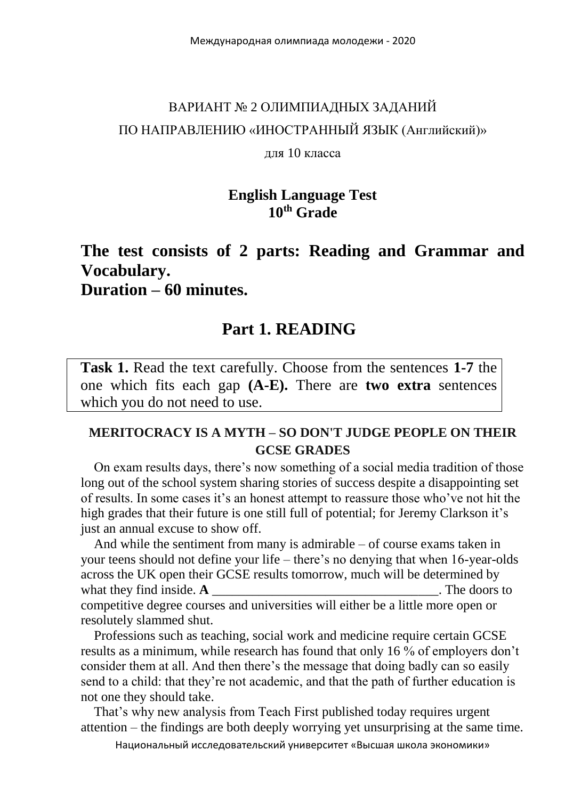# ВАРИАНТ № 2 ОЛИМПИАДНЫХ ЗАДАНИЙ ПО НАПРАВЛЕНИЮ «ИНОСТРАННЫЙ ЯЗЫК (Английский)»

для 10 класса

# **English Language Test 10th Grade**

**The test consists of 2 parts: Reading and Grammar and Vocabulary. Duration – 60 minutes.**

# **Part 1. READING**

**Task 1.** Read the text carefully. Choose from the sentences **1-7** the one which fits each gap **(A-E).** There are **two extra** sentences which you do not need to use.

## **MERITOCRACY IS A MYTH – SO DON'T JUDGE PEOPLE ON THEIR GCSE GRADES**

 On exam results days, there's now something of a social media tradition of those long out of the school system sharing stories of success despite a disappointing set of results. In some cases it's an honest attempt to reassure those who've not hit the high grades that their future is one still full of potential; for [Jeremy Clarkson](https://www.manchestereveningnews.co.uk/news/jeremy-clarkson-day-level-results-16759294) it's just an annual excuse to show off.

 And while the sentiment from many is admirable – of course exams taken in your teens should not define your life – there's no denying that when 16-year-olds across the UK open their GCSE results tomorrow, much will be determined by what they find inside. A zero of the state of the doors to  $\blacksquare$ . The doors to competitive degree courses and universities will either be a little more open or resolutely slammed shut.

 Professions such as [teaching, social work and medicine](https://university.which.co.uk/advice/gcse-choices-university/how-important-are-my-gcse-grades#career) require certain GCSE results as a minimum, while [research has found](https://assets.publishing.service.gov.uk/government/uploads/system/uploads/attachment_data/file/529390/2013-11-01-bmg-research-with-employers-on-new-gcse-grades.pdf) that only 16 % of employers don't consider them at all. And then there's the message that doing badly can so easily send to a child: that they're not academic, and that the path of further education is not one they should take.

 That's why new analysis from Teach First [published today](https://www.theguardian.com/education/2019/aug/21/poorer-pupils-twice-as-likely-to-fail-key-gcses) requires urgent attention – the findings are both deeply worrying yet unsurprising at the same time.

Национальный исследовательский университет «Высшая школа экономики»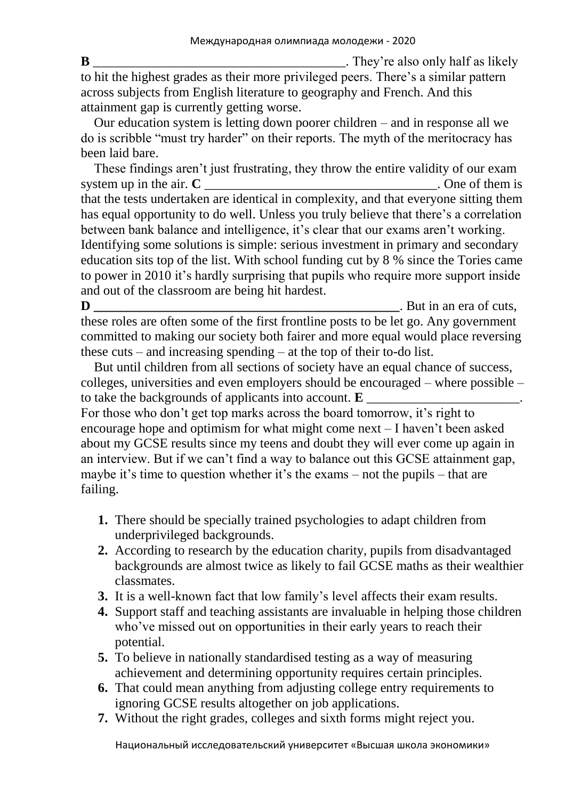**B** \_\_\_\_\_\_\_\_\_\_\_\_\_\_\_\_\_\_\_\_\_\_\_\_\_\_\_\_\_\_\_\_\_\_\_\_\_\_. They're also only half as likely to hit the highest grades as their more privileged peers. There's a similar pattern across subjects from English literature to geography and French. And this attainment gap [is currently getting worse.](https://www.theguardian.com/education/2019/jul/30/attainment-gap-widens-disadvantaged-gcse-pupils-study)

 Our education system is letting down poorer children – and in response all we do is scribble "must try harder" on their reports. The myth of the meritocracy has been laid bare.

 These findings aren't just frustrating, they throw the entire validity of our exam system up in the air. **C** and the system up in the air. **C** and the m is system up in the air. **C** that the tests undertaken are identical in complexity, and that everyone sitting them has equal opportunity to do well. Unless you truly believe that there's a correlation between bank balance and intelligence, it's clear that our exams aren't working. Identifying some solutions is simple: serious investment in primary and secondary education sits top of the list. With school funding cut by 8 [% since the Tories came](https://www.theguardian.com/education/2018/jul/12/english-schools-funding-has-fallen-faster-than-in-wales-says-ifs)  [to power in 2010](https://www.theguardian.com/education/2018/jul/12/english-schools-funding-has-fallen-faster-than-in-wales-says-ifs) it's hardly surprising that pupils who require more support inside and out of the classroom are being hit hardest.

**D \_\_\_\_\_\_\_\_\_\_\_\_\_\_\_\_\_\_\_\_\_\_\_\_\_\_\_\_\_\_\_\_\_\_\_\_\_\_\_\_\_\_\_\_\_\_**. But in an era of cuts, these roles are often [some of the first frontline posts](https://neu.org.uk/schools-forced-cut-teachers-and-teaching-assistants-posts-make-ends-meet) to be let go. Any government committed to making our society both fairer and more equal would place reversing these cuts – and increasing spending – at the top of their to-do list.

 But until children from all sections of society have an equal chance of success, colleges, universities and even employers should be encouraged – where possible – to take the backgrounds of applicants into account. **E** 

For those who don't get top marks across the board tomorrow, it's right to encourage hope and optimism for what might come next – I haven't been asked about my GCSE results since my teens and doubt they will ever come up again in an interview. But if we can't find a way to balance out this GCSE attainment gap, maybe it's time to question whether it's the exams – not the pupils – that are failing.

- **1.** There should be specially trained psychologies to adapt children from underprivileged backgrounds.
- **2.** According to research by the education charity, pupils from disadvantaged backgrounds are almost twice as likely to fail GCSE maths as their wealthier classmates.
- **3.** It is a well-known fact that low family's level affects their exam results.
- **4.** Support staff and teaching assistants are invaluable in helping those children who've missed out on opportunities in their early years to reach their potential.
- **5.** To believe in nationally standardised testing as a way of measuring achievement and determining opportunity requires certain principles.
- **6.** That could mean anything from adjusting college entry requirements to ignoring GCSE results altogether on job applications.
- **7.** Without the right grades, colleges and sixth forms might reject you.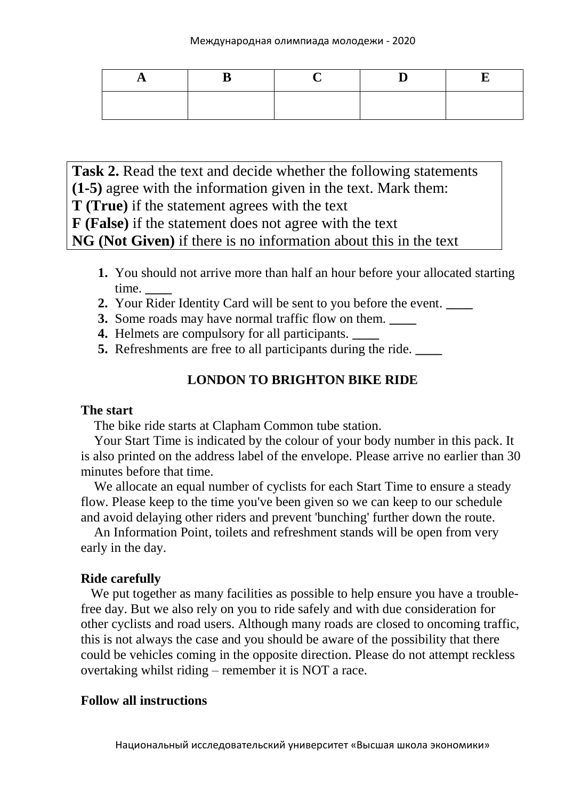**Task 2.** Read the text and decide whether the following statements

**(1-5)** agree with the information given in the text. Mark them:

**T (True)** if the statement agrees with the text

**F (False)** if the statement does not agree with the text

**NG (Not Given)** if there is no information about this in the text

- **1.** You should not arrive more than half an hour before your allocated starting time. **\_\_\_\_**
- **2.** Your Rider Identity Card will be sent to you before the event. **\_\_\_\_**
- **3.** Some roads may have normal traffic flow on them. **\_\_\_\_**
- **4.** Helmets are compulsory for all participants. **\_\_\_\_**
- **5.** Refreshments are free to all participants during the ride. **\_\_\_\_**

## **LONDON TO BRIGHTON BIKE RIDE**

#### **The start**

The bike ride starts at Clapham Common tube station.

 Your Start Time is indicated by the colour of your body number in this pack. It is also printed on the address label of the envelope. Please arrive no earlier than 30 minutes before that time.

 We allocate an equal number of cyclists for each Start Time to ensure a steady flow. Please keep to the time you've been given so we can keep to our schedule and avoid delaying other riders and prevent 'bunching' further down the route.

 An Information Point, toilets and refreshment stands will be open from very early in the day.

#### **Ride carefully**

We put together as many facilities as possible to help ensure you have a troublefree day. But we also rely on you to ride safely and with due consideration for other cyclists and road users. Although many roads are closed to oncoming traffic, this is not always the case and you should be aware of the possibility that there could be vehicles coming in the opposite direction. Please do not attempt reckless overtaking whilst riding – remember it is NOT a race.

#### **Follow all instructions**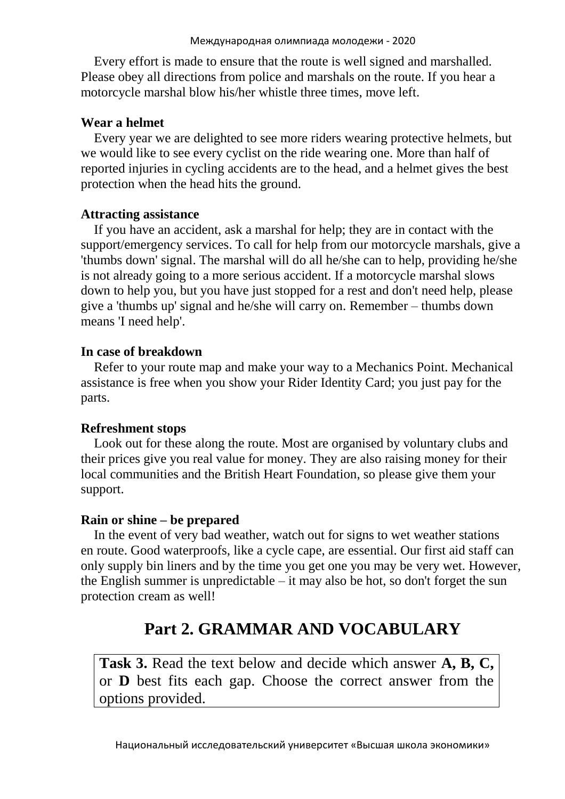Every effort is made to ensure that the route is well signed and marshalled. Please obey all directions from police and marshals on the route. If you hear a motorcycle marshal blow his/her whistle three times, move left.

#### **Wear a helmet**

 Every year we are delighted to see more riders wearing protective helmets, but we would like to see every cyclist on the ride wearing one. More than half of reported injuries in cycling accidents are to the head, and a helmet gives the best protection when the head hits the ground.

#### **Attracting assistance**

 If you have an accident, ask a marshal for help; they are in contact with the support/emergency services. To call for help from our motorcycle marshals, give a 'thumbs down' signal. The marshal will do all he/she can to help, providing he/she is not already going to a more serious accident. If a motorcycle marshal slows down to help you, but you have just stopped for a rest and don't need help, please give a 'thumbs up' signal and he/she will carry on. Remember – thumbs down means 'I need help'.

#### **In case of breakdown**

 Refer to your route map and make your way to a Mechanics Point. Mechanical assistance is free when you show your Rider Identity Card; you just pay for the parts.

#### **Refreshment stops**

 Look out for these along the route. Most are organised by voluntary clubs and their prices give you real value for money. They are also raising money for their local communities and the British Heart Foundation, so please give them your support.

#### **Rain or shine – be prepared**

 In the event of very bad weather, watch out for signs to wet weather stations en route. Good waterproofs, like a cycle cape, are essential. Our first aid staff can only supply bin liners and by the time you get one you may be very wet. However, the English summer is unpredictable – it may also be hot, so don't forget the sun protection cream as well!

# **Part 2. GRAMMAR AND VOCABULARY**

**Task 3.** Read the text below and decide which answer **A, B, C,** or **D** best fits each gap. Choose the correct answer from the options provided.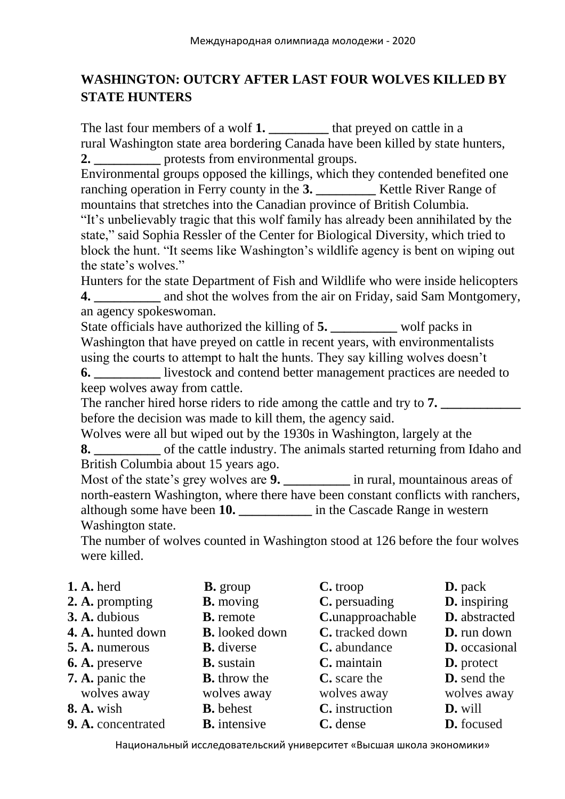# **WASHINGTON: OUTCRY AFTER LAST FOUR WOLVES KILLED BY STATE HUNTERS**

The last four members of a wolf **1. \_\_\_\_\_\_\_\_\_** that preyed on cattle in a rural [Washington state](https://www.theguardian.com/us-news/washington-state) area bordering Canada have been killed by state hunters, **2. \_\_\_\_\_\_\_\_\_\_** protests from environmental groups. Environmental groups opposed the killings, which they contended benefited one ranching operation in Ferry county in the **3. \_\_\_\_\_\_\_\_\_** Kettle River Range of mountains that stretches into the Canadian province of British Columbia. "It's unbelievably tragic that this wolf family has already been annihilated by the state," said Sophia Ressler of the Center for Biological Diversity, which tried to block the hunt. "It seems like Washington's wildlife agency is bent on wiping out the state's wolves." Hunters for the state Department of Fish and Wildlife who were inside helicopters **4. \_\_\_\_\_\_\_\_\_\_** and shot the wolves from the air on Friday, said Sam Montgomery, an agency spokeswoman. State officials have authorized the killing of **5. \_\_\_\_\_\_\_\_\_\_** wolf packs in Washington that have preyed on cattle in recent years, with environmentalists using the courts to attempt to halt the hunts. They say killing wolves doesn't **6. \_\_\_\_\_\_\_\_\_\_** livestock and contend better management practices are needed to keep wolves away from cattle. The rancher hired horse riders to ride among the cattle and try to **7. \_\_\_\_\_\_\_\_\_\_\_\_** before the decision was made to kill them, the agency said. Wolves were all but wiped out by the 1930s in Washington, largely at the **8. \_\_\_\_\_\_\_\_\_\_** of the cattle industry. The animals started returning from Idaho and British Columbia about 15 years ago. Most of the state's grey wolves are **9. \_\_\_\_\_\_\_\_\_\_** in rural, mountainous areas of north-eastern Washington, where there have been constant conflicts with ranchers, although some have been **10. \_\_\_\_\_\_\_\_\_\_\_** in the Cascade Range in western Washington state. The number of wolves counted in Washington stood at 126 before the four wolves were killed. **1. A.** herd **2. A.** prompting **3. A.** dubious **4. A.** hunted down **5. A.** numerous **6. A.** preserve **7. A.** panic the wolves away **8. A.** wish **B.** group **B.** moving **B.** remote **B.** looked down **B.** diverse **B.** sustain **B.** throw the wolves away **B.** behest **C.** troop **C.** persuading **C.**unapproachable **C.** tracked down **C.** abundance **C.** maintain **C.** scare the wolves away **C.** instruction **D.** pack **D.** inspiring **D.** abstracted **D.** run down **D.** occasional **D.** protect **D.** send the wolves away **D.** will

Национальный исследовательский университет «Высшая школа экономики»

**C.** dense

**D.** focused

**B.** intensive

**9. A.** concentrated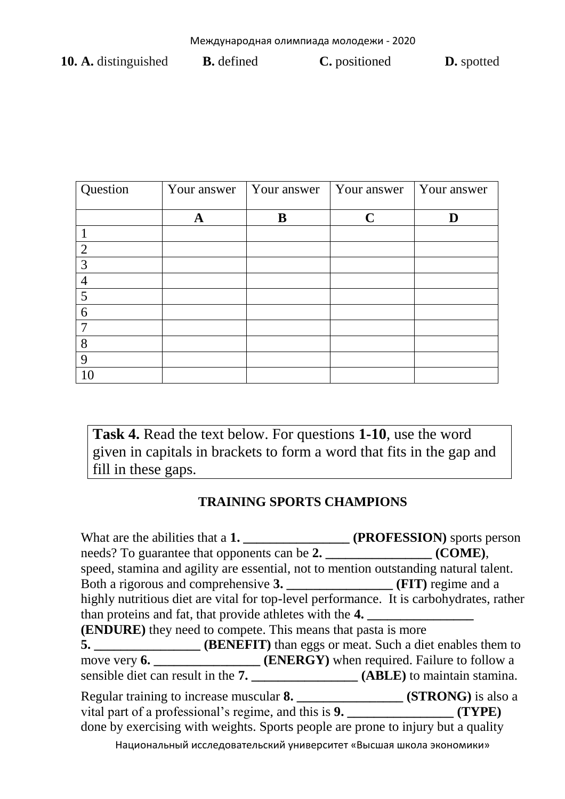| <b>10. A.</b> distinguished | <b>B.</b> defined | C. positioned | <b>D.</b> spotted |
|-----------------------------|-------------------|---------------|-------------------|
|                             |                   |               |                   |

| Question       | Your answer | Your answer   Your answer |             | Your answer |
|----------------|-------------|---------------------------|-------------|-------------|
|                |             |                           |             |             |
|                | A           | B                         | $\mathbf C$ | D           |
|                |             |                           |             |             |
| $\overline{2}$ |             |                           |             |             |
| 3              |             |                           |             |             |
| $\overline{4}$ |             |                           |             |             |
| 5              |             |                           |             |             |
| 6              |             |                           |             |             |
| $\overline{7}$ |             |                           |             |             |
| 8              |             |                           |             |             |
| 9              |             |                           |             |             |
| 10             |             |                           |             |             |

**Task 4.** Read the text below. For questions **1-10**, use the word given in capitals in brackets to form a word that fits in the gap and fill in these gaps.

#### **TRAINING SPORTS CHAMPIONS**

Национальный исследовательский университет «Высшая школа экономики» What are the abilities that a 1. \_\_\_\_\_\_\_\_\_\_\_\_\_\_\_\_\_ (PROFESSION) sports person needs? To guarantee that opponents can be **2. \_\_\_\_\_\_\_\_\_\_\_\_\_\_\_\_ (COME)**, speed, stamina and agility are essential, not to mention outstanding natural talent. Both a rigorous and comprehensive **3. \_\_\_\_\_\_\_\_\_\_\_\_\_\_\_\_ (FIT)** regime and a highly nutritious diet are vital for top-level performance. It is carbohydrates, rather than proteins and fat, that provide athletes with the 4. **(ENDURE)** they need to compete. This means that pasta is more **5. \_\_\_\_\_\_\_\_\_\_\_\_\_\_\_\_ (BENEFIT)** than eggs or meat. Such a diet enables them to move very **6.** \_\_\_\_\_\_\_\_\_\_\_\_\_\_\_\_ (**ENERGY**) when required. Failure to follow a sensible diet can result in the **7. \_\_\_\_\_\_\_\_\_\_\_\_\_\_\_\_ (ABLE)** to maintain stamina. Regular training to increase muscular **8. \_\_\_\_\_\_\_\_\_\_\_\_\_\_\_\_ (STRONG)** is also a vital part of a professional's regime, and this is **9.** (TYPE) done by exercising with weights. Sports people are prone to injury but a quality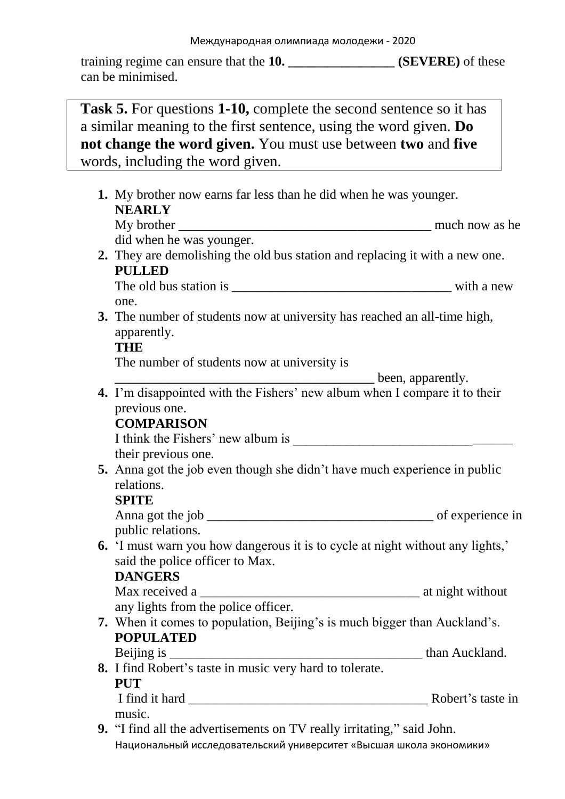training regime can ensure that the **10. \_\_\_\_\_\_\_\_\_\_\_\_\_\_\_\_ (SEVERE)** of these can be minimised.

**Task 5.** For questions **1-10,** complete the second sentence so it has a similar meaning to the first sentence, using the word given. **Do not change the word given.** You must use between **two** and **five** words, including the word given.

| 1. My brother now earns far less than he did when he was younger.                                      |
|--------------------------------------------------------------------------------------------------------|
| <b>NEARLY</b>                                                                                          |
|                                                                                                        |
| did when he was younger.                                                                               |
| 2. They are demolishing the old bus station and replacing it with a new one.<br><b>PULLED</b>          |
|                                                                                                        |
| one.                                                                                                   |
| 3. The number of students now at university has reached an all-time high,<br>apparently.<br><b>THE</b> |
| The number of students now at university is                                                            |
| been, apparently.                                                                                      |
| 4. I'm disappointed with the Fishers' new album when I compare it to their                             |
| previous one.<br><b>COMPARISON</b>                                                                     |
|                                                                                                        |
| their previous one.                                                                                    |
| 5. Anna got the job even though she didn't have much experience in public                              |
| relations.                                                                                             |
| <b>SPITE</b>                                                                                           |
|                                                                                                        |
| public relations.                                                                                      |
| <b>6.</b> 'I must warn you how dangerous it is to cycle at night without any lights,'                  |
| said the police officer to Max.                                                                        |
| <b>DANGERS</b>                                                                                         |
|                                                                                                        |
| any lights from the police officer.                                                                    |
| 7. When it comes to population, Beijing's is much bigger than Auckland's.                              |
| <b>POPULATED</b>                                                                                       |
|                                                                                                        |
|                                                                                                        |
| <b>PUT</b>                                                                                             |
|                                                                                                        |
| music.                                                                                                 |
| 9. "I find all the advertisements on TV really irritating," said John.                                 |
| Национальный исследовательский университет «Высшая школа экономики»                                    |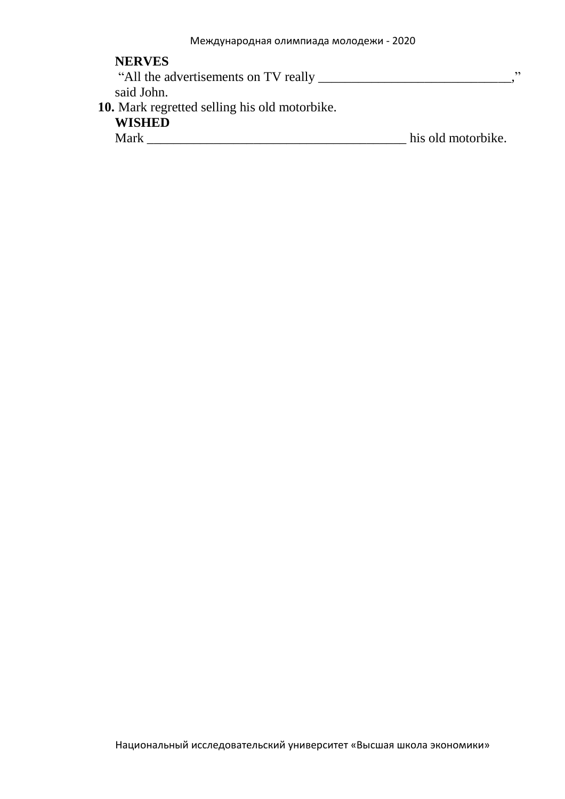#### **NERVES**

| "All the advertisements on TV really                 | ,,                 |
|------------------------------------------------------|--------------------|
| said John.                                           |                    |
| <b>10.</b> Mark regretted selling his old motorbike. |                    |
| <b>WISHED</b>                                        |                    |
| Mark                                                 | his old motorbike. |
|                                                      |                    |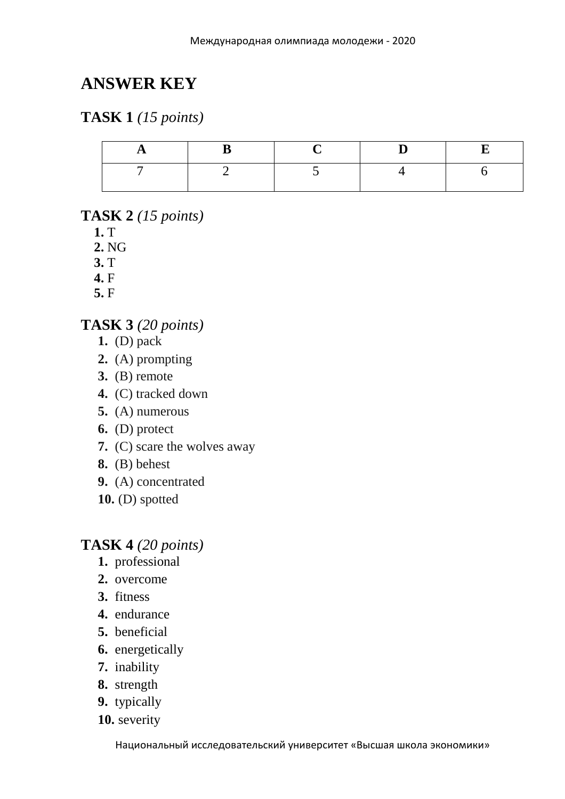# **ANSWER KEY**

# **TASK 1** *(15 points)*

#### **TASK 2** *(15 points)*

**1.** T

**2.** NG

**3.** T

**4.** F

**5.** F

#### **TASK 3** *(20 points)*

- **1.** (D) pack
- **2.** (A) prompting
- **3.** (B) remote
- **4.** (C) tracked down
- **5.** (A) numerous
- **6.** (D) protect
- **7.** (C) scare the wolves away
- **8.** (B) behest
- **9.** (A) concentrated
- **10.** (D) spotted

## **TASK 4** *(20 points)*

- **1.** professional
- **2.** overcome
- **3.** fitness
- **4.** endurance
- **5.** beneficial
- **6.** energetically
- **7.** inability
- **8.** strength
- **9.** typically
- **10.** severity